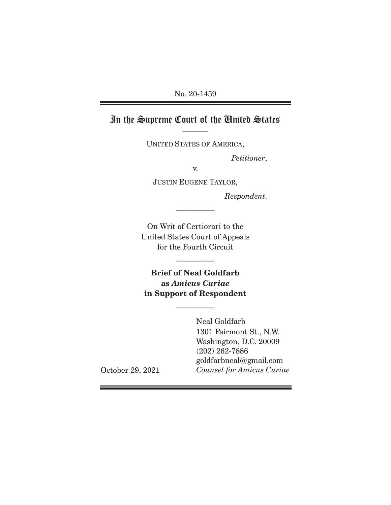# In the Supreme Court of the United States

UNITED STATES OF AMERICA,

*Petitioner*,

v.

JUSTIN EUGENE TAYLOR,

 $\mathcal{L}_\text{max}$ 

*Respondent*.

On Writ of Certiorari to the United States Court of Appeals for the Fourth Circuit

 $\frac{1}{2}$ 

**Brief of Neal Goldfarb as** *Amicus Curiae*  **in Support of Respondent** 

 $\frac{1}{2}$ 

Neal Goldfarb 1301 Fairmont St., N.W. Washington, D.C. 20009 (202) 262-7886 goldfarbneal@gmail.com *Counsel for Amicus Curiae* 

October 29, 2021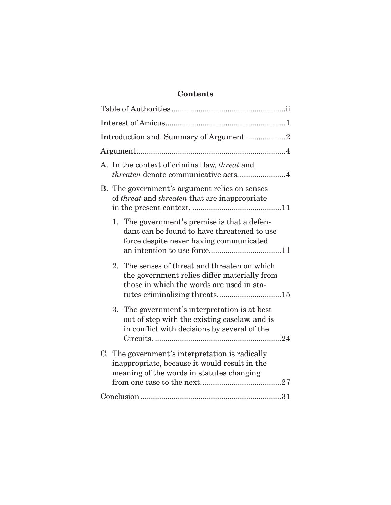# **Contents**

| Introduction and Summary of Argument 2                                                                                                                                      |
|-----------------------------------------------------------------------------------------------------------------------------------------------------------------------------|
|                                                                                                                                                                             |
| A. In the context of criminal law, <i>threat</i> and<br><i>threaten</i> denote communicative acts4                                                                          |
| B. The government's argument relies on senses<br>of threat and threaten that are inappropriate                                                                              |
| 1. The government's premise is that a defen-<br>dant can be found to have threatened to use<br>force despite never having communicated                                      |
| 2. The senses of threat and threaten on which<br>the government relies differ materially from<br>those in which the words are used in sta-<br>tutes criminalizing threats15 |
| 3. The government's interpretation is at best<br>out of step with the existing caselaw, and is<br>in conflict with decisions by several of the                              |
| C. The government's interpretation is radically<br>inappropriate, because it would result in the<br>meaning of the words in statutes changing                               |
|                                                                                                                                                                             |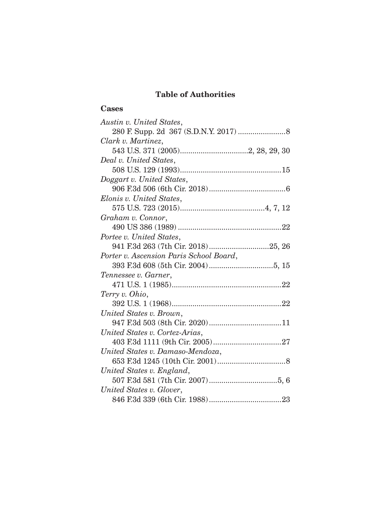## **Table of Authorities**

### **Cases**

| Austin v. United States,                |
|-----------------------------------------|
|                                         |
| Clark v. Martinez,                      |
|                                         |
| Deal v. United States,                  |
|                                         |
| Doggart v. United States,               |
|                                         |
| Elonis v. United States,                |
|                                         |
| Graham v. Connor,                       |
|                                         |
| Portee v. United States,                |
|                                         |
| Porter v. Ascension Paris School Board, |
|                                         |
| Tennessee v. Garner,                    |
|                                         |
| Terry v. Ohio,                          |
|                                         |
| United States v. Brown,                 |
|                                         |
| United States v. Cortez-Arias,          |
|                                         |
| United States v. Damaso-Mendoza,        |
|                                         |
| United States v. England,               |
|                                         |
| United States v. Glover,                |
|                                         |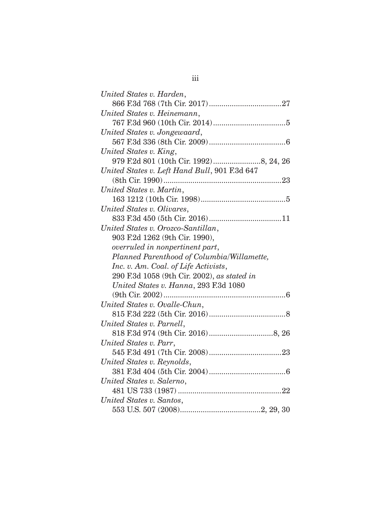| United States v. Harden,                      |
|-----------------------------------------------|
|                                               |
| United States v. Heinemann,                   |
|                                               |
| United States v. Jongewaard,                  |
|                                               |
| United States v. King,                        |
|                                               |
| United States v. Left Hand Bull, 901 F.3d 647 |
|                                               |
| United States v. Martin,                      |
|                                               |
| United States v. Olivares,                    |
|                                               |
| United States v. Orozco-Santillan,            |
| 903 F.2d 1262 (9th Cir. 1990),                |
| overruled in nonpertinent part,               |
| Planned Parenthood of Columbia/Willamette,    |
| Inc. v. Am. Coal. of Life Activists,          |
| 290 F.3d 1058 (9th Cir. 2002), as stated in   |
| United States v. Hanna, 293 F.3d 1080         |
|                                               |
| United States v. Ovalle-Chun,                 |
|                                               |
| United States v. Parnell,                     |
|                                               |
| United States v. Parr,                        |
|                                               |
| United States v. Reynolds,                    |
|                                               |
| United States v. Salerno,                     |
|                                               |
| United States v. Santos,                      |
|                                               |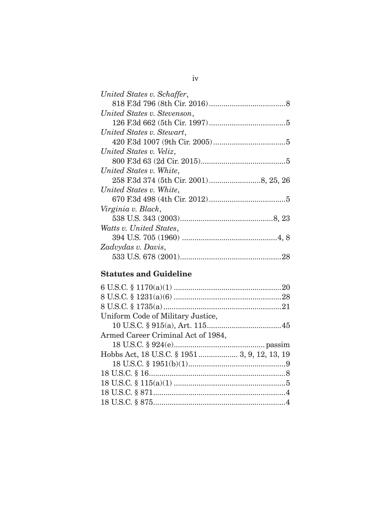| United States v. Schaffer,  |
|-----------------------------|
|                             |
| United States v. Stevenson, |
|                             |
| United States v. Stewart,   |
|                             |
| United States v. Veliz,     |
|                             |
| United States v. White,     |
|                             |
| United States v. White,     |
|                             |
| Virginia v. Black,          |
|                             |
| Watts v. United States,     |
|                             |
| Zadvydas v. Davis,          |
|                             |

# **Statutes and Guideline**

| Uniform Code of Military Justice,            |  |
|----------------------------------------------|--|
|                                              |  |
| Armed Career Criminal Act of 1984,           |  |
|                                              |  |
| Hobbs Act, 18 U.S.C. § 1951 3, 9, 12, 13, 19 |  |
|                                              |  |
|                                              |  |
|                                              |  |
|                                              |  |
|                                              |  |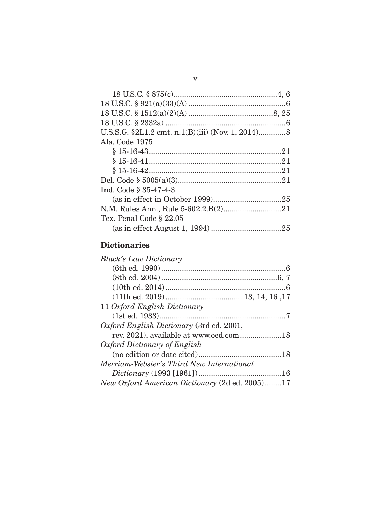| Ala. Code 1975          |
|-------------------------|
|                         |
|                         |
|                         |
|                         |
| Ind. Code § 35-47-4-3   |
|                         |
|                         |
| Tex. Penal Code § 22.05 |
|                         |

## **Dictionaries**

| <b>Black's Law Dictionary</b>                  |
|------------------------------------------------|
|                                                |
|                                                |
|                                                |
|                                                |
| 11 Oxford English Dictionary                   |
|                                                |
| Oxford English Dictionary (3rd ed. 2001,       |
|                                                |
| Oxford Dictionary of English                   |
|                                                |
| Merriam-Webster's Third New International      |
|                                                |
| New Oxford American Dictionary (2d ed. 2005)17 |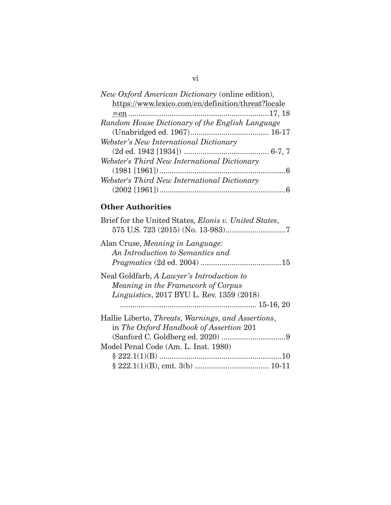| New Oxford American Dictionary (online edition),   |  |  |
|----------------------------------------------------|--|--|
| https://www.lexico.com/en/definition/threat?locale |  |  |
|                                                    |  |  |
| Random House Dictionary of the English Language    |  |  |
|                                                    |  |  |
| Webster's New International Dictionary             |  |  |
|                                                    |  |  |
| Webster's Third New International Dictionary       |  |  |
|                                                    |  |  |
| Webster's Third New International Dictionary       |  |  |
|                                                    |  |  |

### **Other Authorities**

| Brief for the United States, Elonis v. United States,                                                                                |
|--------------------------------------------------------------------------------------------------------------------------------------|
| Alan Cruse, Meaning in Language:<br>An Introduction to Semantics and                                                                 |
| Neal Goldfarb, A Lawyer's Introduction to<br>Meaning in the Framework of Corpus<br><i>Linguistics</i> , 2017 BYU L. Rev. 1359 (2018) |
| Hallie Liberto, Threats, Warnings, and Assertions,                                                                                   |
| in The Oxford Handbook of Assertion 201<br>Model Penal Code (Am. L. Inst. 1980)                                                      |
|                                                                                                                                      |
|                                                                                                                                      |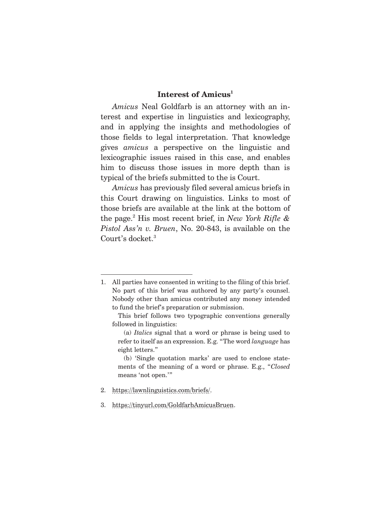### **Interest of Amicus1**

*Amicus* Neal Goldfarb is an attorney with an interest and expertise in linguistics and lexicography, and in applying the insights and methodologies of those fields to legal interpretation. That knowledge gives *amicus* a perspective on the linguistic and lexicographic issues raised in this case, and enables him to discuss those issues in more depth than is typical of the briefs submitted to the is Court.

*Amicus* has previously filed several amicus briefs in this Court drawing on linguistics. Links to most of those briefs are available at the link at the bottom of the page.2 His most recent brief, in *New York Rifle & Pistol Ass'n v. Bruen*, No. 20-843, is available on the Court's docket.<sup>3</sup>

 (b) 'Single quotation marks' are used to enclose statements of the meaning of a word or phrase. E.g., "*Closed* means 'not open.'"

- 2. https://lawnlinguistics.com/briefs/.
- 3. https://tinyurl.com/GoldfarbAmicusBruen.

<sup>1.</sup> All parties have consented in writing to the filing of this brief. No part of this brief was authored by any party's counsel. Nobody other than amicus contributed any money intended to fund the brief's preparation or submission.

This brief follows two typographic conventions generally followed in linguistics:

 <sup>(</sup>a) *Italics* signal that a word or phrase is being used to refer to itself as an expression. E.g. "The word *language* has eight letters."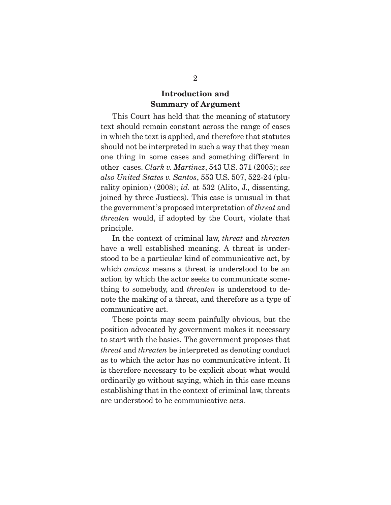### **Introduction and Summary of Argument**

 This Court has held that the meaning of statutory text should remain constant across the range of cases in which the text is applied, and therefore that statutes should not be interpreted in such a way that they mean one thing in some cases and something different in other cases. *Clark v. Martinez*, 543 U.S. 371 (2005); *see also United States v. Santos*, 553 U.S. 507, 522-24 (plurality opinion) (2008); *id.* at 532 (Alito, J., dissenting, joined by three Justices). This case is unusual in that the government's proposed interpretation of *threat* and *threaten* would, if adopted by the Court, violate that principle.

 In the context of criminal law, *threat* and *threaten*  have a well established meaning. A threat is understood to be a particular kind of communicative act, by which *amicus* means a threat is understood to be an action by which the actor seeks to communicate something to somebody, and *threaten* is understood to denote the making of a threat, and therefore as a type of communicative act.

 These points may seem painfully obvious, but the position advocated by government makes it necessary to start with the basics. The government proposes that *threat* and *threaten* be interpreted as denoting conduct as to which the actor has no communicative intent. It is therefore necessary to be explicit about what would ordinarily go without saying, which in this case means establishing that in the context of criminal law, threats are understood to be communicative acts.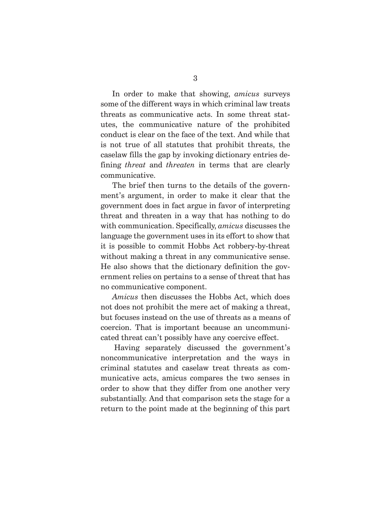In order to make that showing, *amicus* surveys some of the different ways in which criminal law treats threats as communicative acts. In some threat statutes, the communicative nature of the prohibited conduct is clear on the face of the text. And while that is not true of all statutes that prohibit threats, the caselaw fills the gap by invoking dictionary entries defining *threat* and *threaten* in terms that are clearly communicative.

 The brief then turns to the details of the government's argument, in order to make it clear that the government does in fact argue in favor of interpreting threat and threaten in a way that has nothing to do with communication. Specifically, *amicus* discusses the language the government uses in its effort to show that it is possible to commit Hobbs Act robbery-by-threat without making a threat in any communicative sense. He also shows that the dictionary definition the government relies on pertains to a sense of threat that has no communicative component.

*Amicus* then discusses the Hobbs Act, which does not does not prohibit the mere act of making a threat, but focuses instead on the use of threats as a means of coercion. That is important because an uncommunicated threat can't possibly have any coercive effect.

 Having separately discussed the government's noncommunicative interpretation and the ways in criminal statutes and caselaw treat threats as communicative acts, amicus compares the two senses in order to show that they differ from one another very substantially. And that comparison sets the stage for a return to the point made at the beginning of this part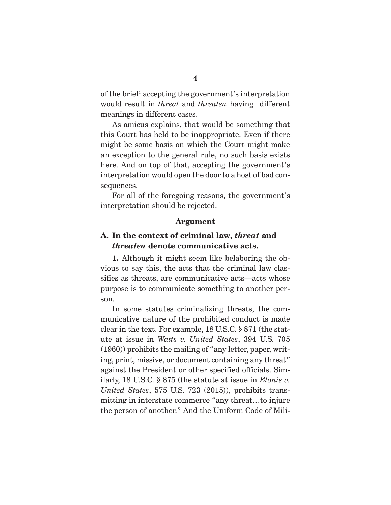of the brief: accepting the government's interpretation would result in *threat* and *threaten* having different meanings in different cases.

 As amicus explains, that would be something that this Court has held to be inappropriate. Even if there might be some basis on which the Court might make an exception to the general rule, no such basis exists here. And on top of that, accepting the government's interpretation would open the door to a host of bad consequences.

 For all of the foregoing reasons, the government's interpretation should be rejected.

#### **Argument**

### **A. In the context of criminal law,** *threat* **and**  *threaten* **denote communicative acts.**

**1.** Although it might seem like belaboring the obvious to say this, the acts that the criminal law classifies as threats, are communicative acts—acts whose purpose is to communicate something to another person.

 In some statutes criminalizing threats, the communicative nature of the prohibited conduct is made clear in the text. For example, 18 U.S.C. § 871 (the statute at issue in *Watts v. United States*, 394 U.S. 705 (1960)) prohibits the mailing of "any letter, paper, writing, print, missive, or document containing any threat" against the President or other specified officials. Similarly, 18 U.S.C. § 875 (the statute at issue in *Elonis v. United States*, 575 U.S. 723 (2015)), prohibits transmitting in interstate commerce "any threat…to injure the person of another." And the Uniform Code of Mili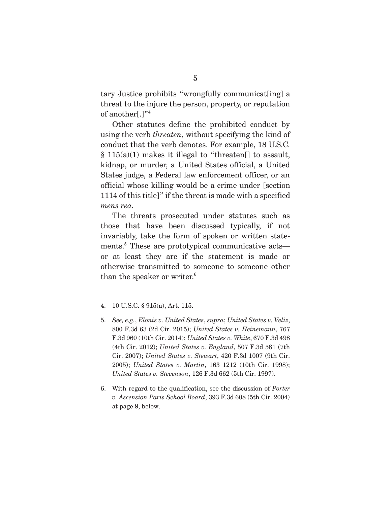tary Justice prohibits "wrongfully communicat[ing] a threat to the injure the person, property, or reputation of another[.]"4

 Other statutes define the prohibited conduct by using the verb *threaten*, without specifying the kind of conduct that the verb denotes. For example, 18 U.S.C.  $§ 115(a)(1)$  makes it illegal to "threaten[] to assault, kidnap, or murder, a United States official, a United States judge, a Federal law enforcement officer, or an official whose killing would be a crime under [section 1114 of this title]" if the threat is made with a specified *mens rea.* 

 The threats prosecuted under statutes such as those that have been discussed typically, if not invariably, take the form of spoken or written statements.5 These are prototypical communicative acts or at least they are if the statement is made or otherwise transmitted to someone to someone other than the speaker or writer.<sup>6</sup>

<sup>4. 10</sup> U.S.C. § 915(a), Art. 115.

<sup>5.</sup> *See, e.g.*, *Elonis v. United States*, *supra*; *United States v. Veliz*, 800 F.3d 63 (2d Cir. 2015); *United States v. Heinemann*, 767 F.3d 960 (10th Cir. 2014); *United States v. White*, 670 F.3d 498 (4th Cir. 2012); *United States v. England*, 507 F.3d 581 (7th Cir. 2007); *United States v. Stewart*, 420 F.3d 1007 (9th Cir. 2005); *United States v. Martin*, 163 1212 (10th Cir. 1998); *United States v. Stevenson*, 126 F.3d 662 (5th Cir. 1997).

<sup>6.</sup> With regard to the qualification, see the discussion of *Porter v. Ascension Paris School Board*, 393 F.3d 608 (5th Cir. 2004) at page 9, below.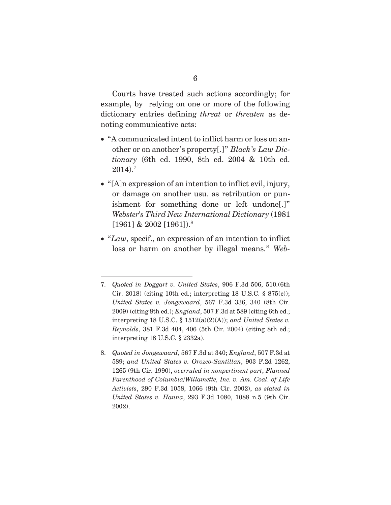Courts have treated such actions accordingly; for example, by relying on one or more of the following dictionary entries defining *threat* or *threaten* as denoting communicative acts:

- x "A communicated intent to inflict harm or loss on another or on another's property[.]" *Black's Law Dictionary* (6th ed. 1990, 8th ed. 2004 & 10th ed.  $2014$ ). $^{7}$
- $\bullet$  "[A]n expression of an intention to inflict evil, injury, or damage on another usu. as retribution or punishment for something done or left undone[.]" *Webster's Third New International Dictionary* (1981 [1961] & 2002 [1961]).8
- "Law, specif., an expression of an intention to inflict loss or harm on another by illegal means." *Web-*

8. *Quoted in Jongewaard*, 567 F.3d at 340; *England*, 507 F.3d at 589; *and United States v. Orozco-Santillan*, 903 F.2d 1262, 1265 (9th Cir. 1990), *overruled in nonpertinent part*, *Planned Parenthood of Columbia/Willamette, Inc. v. Am. Coal. of Life Activists*, 290 F.3d 1058, 1066 (9th Cir. 2002), *as stated in United States v. Hanna*, 293 F.3d 1080, 1088 n.5 (9th Cir. 2002).

<sup>7.</sup> *Quoted in Doggart v. United States*, 906 F.3d 506, 510.(6th Cir. 2018) (citing 10th ed.; interpreting 18 U.S.C. § 875(c)); *United States v. Jongewaard*, 567 F.3d 336, 340 (8th Cir. 2009) (citing 8th ed.); *England*, 507 F.3d at 589 (citing 6th ed.; interpreting 18 U.S.C. § 1512(a)(2)(A)); *and United States v. Reynolds*, 381 F.3d 404, 406 (5th Cir. 2004) (citing 8th ed.; interpreting 18 U.S.C. § 2332a).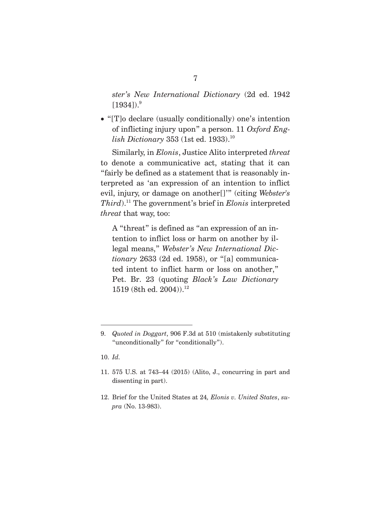*ster's New International Dictionary* (2d ed. 1942  $[1934])$ . $^{9}$ 

• "[T]o declare (usually conditionally) one's intention of inflicting injury upon" a person. 11 *Oxford English Dictionary* 353 (1st ed. 1933).<sup>10</sup>

 Similarly, in *Elonis*, Justice Alito interpreted *threat* to denote a communicative act, stating that it can "fairly be defined as a statement that is reasonably interpreted as 'an expression of an intention to inflict evil, injury, or damage on another[]'" (citing *Webster's Third*).11 The government's brief in *Elonis* interpreted *threat* that way, too:

A "threat" is defined as "an expression of an intention to inflict loss or harm on another by illegal means," *Webster's New International Dictionary* 2633 (2d ed. 1958), or "[a] communicated intent to inflict harm or loss on another," Pet. Br. 23 (quoting *Black's Law Dictionary* 1519 (8th ed. 2004)).<sup>12</sup>

10. *Id.*

<sup>9.</sup> *Quoted in Doggart*, 906 F.3d at 510 (mistakenly substituting "unconditionally" for "conditionally").

<sup>11. 575</sup> U.S. at 743–44 (2015) (Alito, J., concurring in part and dissenting in part).

<sup>12.</sup> Brief for the United States at 24*, Elonis v. United States*, *supra* (No. 13-983).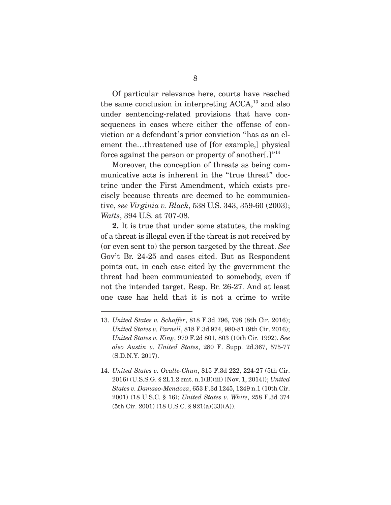Of particular relevance here, courts have reached the same conclusion in interpreting  $ACCA$ ,<sup>13</sup> and also under sentencing-related provisions that have consequences in cases where either the offense of conviction or a defendant's prior conviction "has as an element the…threatened use of [for example,] physical force against the person or property of another.] $"^{14}$ 

 Moreover, the conception of threats as being communicative acts is inherent in the "true threat" doctrine under the First Amendment, which exists precisely because threats are deemed to be communicative, *see Virginia v. Black*, 538 U.S. 343, 359-60 (2003); *Watts*, 394 U.S. at 707-08.

**2.** It is true that under some statutes, the making of a threat is illegal even if the threat is not received by (or even sent to) the person targeted by the threat. *See* Gov't Br. 24-25 and cases cited. But as Respondent points out, in each case cited by the government the threat had been communicated to somebody, even if not the intended target. Resp. Br. 26-27. And at least one case has held that it is not a crime to write

<sup>13.</sup> *United States v. Schaffer*, 818 F.3d 796, 798 (8th Cir. 2016); *United States v. Parnell*, 818 F.3d 974, 980-81 (9th Cir. 2016); *United States v. King*, 979 F.2d 801, 803 (10th Cir. 1992). *See also Austin v. United States*, 280 F. Supp. 2d.367, 575-77 (S.D.N.Y. 2017).

<sup>14.</sup> *United States v. Ovalle-Chun*, 815 F.3d 222, 224-27 (5th Cir. 2016) (U.S.S.G. § 2L1.2 cmt. n.1(B)(iii) (Nov. 1, 2014)); *United States v. Damaso-Mendoza*, 653 F.3d 1245, 1249 n.1 (10th Cir. 2001) (18 U.S.C. § 16); *United States v. White*, 258 F.3d 374 (5th Cir. 2001) (18 U.S.C. § 921(a)(33)(A)).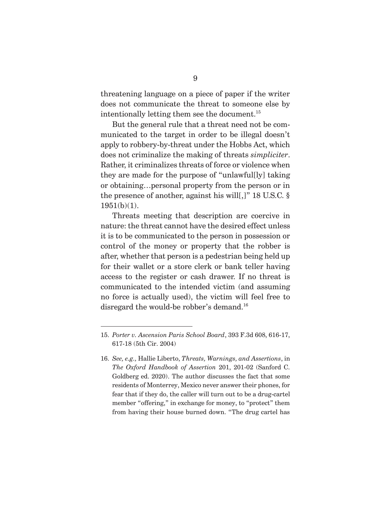threatening language on a piece of paper if the writer does not communicate the threat to someone else by intentionally letting them see the document. $^{15}$ 

 But the general rule that a threat need not be communicated to the target in order to be illegal doesn't apply to robbery-by-threat under the Hobbs Act, which does not criminalize the making of threats *simpliciter*. Rather, it criminalizes threats of force or violence when they are made for the purpose of "unlawful[ly] taking or obtaining…personal property from the person or in the presence of another, against his will[,]" 18 U.S.C. § 1951(b)(1).

 Threats meeting that description are coercive in nature: the threat cannot have the desired effect unless it is to be communicated to the person in possession or control of the money or property that the robber is after, whether that person is a pedestrian being held up for their wallet or a store clerk or bank teller having access to the register or cash drawer. If no threat is communicated to the intended victim (and assuming no force is actually used), the victim will feel free to disregard the would-be robber's demand.<sup>16</sup>

<sup>15.</sup> *Porter v. Ascension Paris School Board*, 393 F.3d 608, 616-17, 617-18 (5th Cir. 2004)

<sup>16.</sup> *See, e.g.,* Hallie Liberto, *Threats, Warnings, and Assertions*, in *The Oxford Handbook of Assertion* 201, 201-02 (Sanford C. Goldberg ed. 2020). The author discusses the fact that some residents of Monterrey, Mexico never answer their phones, for fear that if they do, the caller will turn out to be a drug-cartel member "offering," in exchange for money, to "protect" them from having their house burned down. "The drug cartel has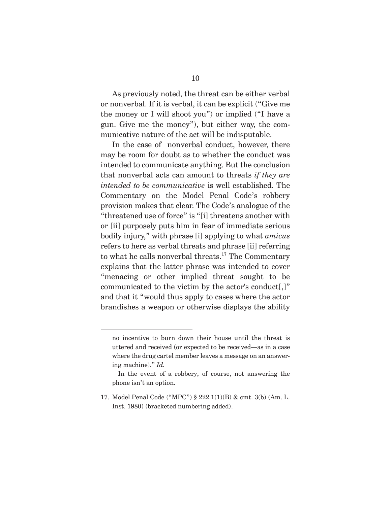As previously noted, the threat can be either verbal or nonverbal. If it is verbal, it can be explicit ("Give me the money or I will shoot you") or implied ("I have a gun. Give me the money"), but either way, the communicative nature of the act will be indisputable.

 In the case of nonverbal conduct, however, there may be room for doubt as to whether the conduct was intended to communicate anything. But the conclusion that nonverbal acts can amount to threats *if they are intended to be communicative* is well established. The Commentary on the Model Penal Code's robbery provision makes that clear. The Code's analogue of the "threatened use of force" is "[i] threatens another with or [ii] purposely puts him in fear of immediate serious bodily injury," with phrase [i] applying to what *amicus* refers to here as verbal threats and phrase [ii] referring to what he calls nonverbal threats.<sup>17</sup> The Commentary explains that the latter phrase was intended to cover "menacing or other implied threat sought to be communicated to the victim by the actor's conduct[,]" and that it "would thus apply to cases where the actor brandishes a weapon or otherwise displays the ability

no incentive to burn down their house until the threat is uttered and received (or expected to be received—as in a case where the drug cartel member leaves a message on an answering machine)." *Id.*

In the event of a robbery, of course, not answering the phone isn't an option.

<sup>17.</sup> Model Penal Code ("MPC") § 222.1(1)(B) & cmt. 3(b) (Am. L. Inst. 1980) (bracketed numbering added).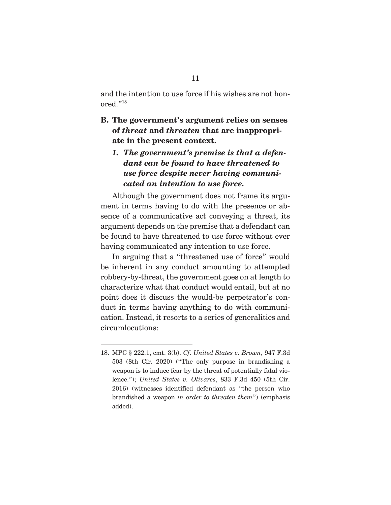and the intention to use force if his wishes are not honored."18

### **B. The government's argument relies on senses of** *threat* **and** *threaten* **that are inappropriate in the present context.**

## *1. The government's premise is that a defendant can be found to have threatened to use force despite never having communicated an intention to use force.*

 Although the government does not frame its argument in terms having to do with the presence or absence of a communicative act conveying a threat, its argument depends on the premise that a defendant can be found to have threatened to use force without ever having communicated any intention to use force.

 In arguing that a "threatened use of force" would be inherent in any conduct amounting to attempted robbery-by-threat, the government goes on at length to characterize what that conduct would entail, but at no point does it discuss the would-be perpetrator's conduct in terms having anything to do with communication. Instead, it resorts to a series of generalities and circumlocutions:

<sup>18.</sup> MPC § 222.1, cmt. 3(b). *Cf. United States v. Brown*, 947 F.3d 503 (8th Cir. 2020) ("The only purpose in brandishing a weapon is to induce fear by the threat of potentially fatal violence."); *United States v. Olivares*, 833 F.3d 450 (5th Cir. 2016) (witnesses identified defendant as "the person who brandished a weapon *in order to threaten them*") (emphasis added).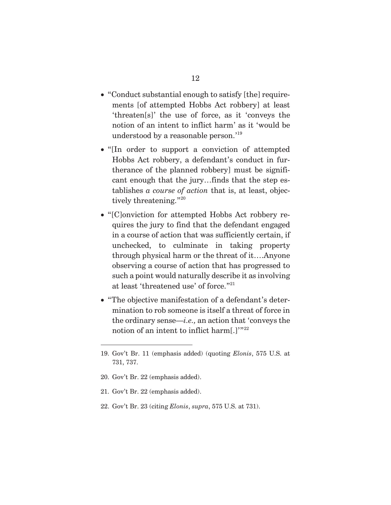- "Conduct substantial enough to satisfy [the] requirements [of attempted Hobbs Act robbery] at least 'threaten[s]' the use of force, as it 'conveys the notion of an intent to inflict harm' as it 'would be understood by a reasonable person.'19
- "[In order to support a conviction of attempted Hobbs Act robbery, a defendant's conduct in furtherance of the planned robbery] must be significant enough that the jury…finds that the step establishes *a course of action* that is, at least, objectively threatening."<sup>20</sup>
- "[C]onviction for attempted Hobbs Act robbery requires the jury to find that the defendant engaged in a course of action that was sufficiently certain, if unchecked, to culminate in taking property through physical harm or the threat of it….Anyone observing a course of action that has progressed to such a point would naturally describe it as involving at least 'threatened use' of force."21
- "The objective manifestation of a defendant's determination to rob someone is itself a threat of force in the ordinary sense—*i.e.,* an action that 'conveys the notion of an intent to inflict harm[.]'"22

- 20. Gov't Br. 22 (emphasis added).
- 21. Gov't Br. 22 (emphasis added).
- 22. Gov't Br. 23 (citing *Elonis*, *supra*, 575 U.S. at 731).

<sup>19.</sup> Gov't Br. 11 (emphasis added) (quoting *Elonis*, 575 U.S. at 731, 737.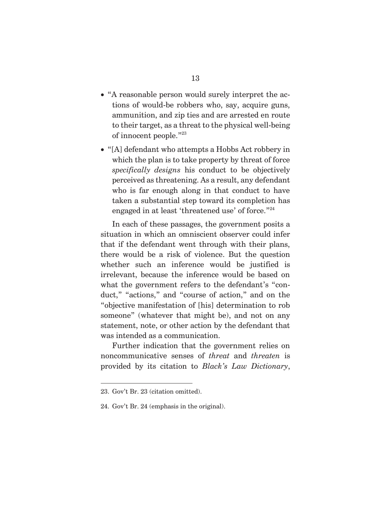- "A reasonable person would surely interpret the actions of would-be robbers who, say, acquire guns, ammunition, and zip ties and are arrested en route to their target, as a threat to the physical well-being of innocent people."23
- "[A] defendant who attempts a Hobbs Act robbery in which the plan is to take property by threat of force *specifically designs* his conduct to be objectively perceived as threatening. As a result, any defendant who is far enough along in that conduct to have taken a substantial step toward its completion has engaged in at least 'threatened use' of force."<sup>24</sup>

 In each of these passages, the government posits a situation in which an omniscient observer could infer that if the defendant went through with their plans, there would be a risk of violence. But the question whether such an inference would be justified is irrelevant, because the inference would be based on what the government refers to the defendant's "conduct," "actions," and "course of action," and on the "objective manifestation of [his] determination to rob someone" (whatever that might be), and not on any statement, note, or other action by the defendant that was intended as a communication.

 Further indication that the government relies on noncommunicative senses of *threat* and *threaten* is provided by its citation to *Black's Law Dictionary*,

<sup>23.</sup> Gov't Br. 23 (citation omitted).

<sup>24.</sup> Gov't Br. 24 (emphasis in the original).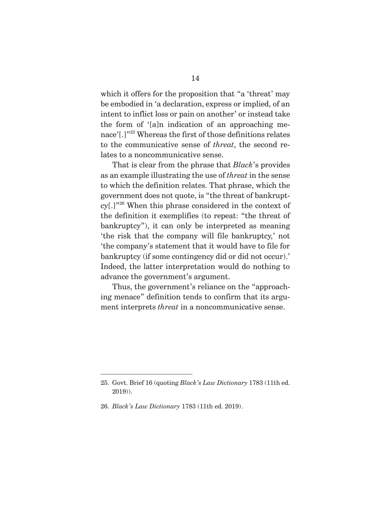which it offers for the proposition that "a 'threat' may be embodied in 'a declaration, express or implied, of an intent to inflict loss or pain on another' or instead take the form of '[a]n indication of an approaching menace'[.]"25 Whereas the first of those definitions relates to the communicative sense of *threat*, the second relates to a noncommunicative sense.

 That is clear from the phrase that *Black*'s provides as an example illustrating the use of *threat* in the sense to which the definition relates. That phrase, which the government does not quote, is "the threat of bankruptcy[.]"26 When this phrase considered in the context of the definition it exemplifies (to repeat: "the threat of bankruptcy"), it can only be interpreted as meaning 'the risk that the company will file bankruptcy,' not 'the company's statement that it would have to file for bankruptcy (if some contingency did or did not occur).' Indeed, the latter interpretation would do nothing to advance the government's argument.

 Thus, the government's reliance on the "approaching menace" definition tends to confirm that its argument interprets *threat* in a noncommunicative sense.

<sup>25.</sup> Govt. Brief 16 (quoting *Black's Law Dictionary* 1783 (11th ed. 2019)).

<sup>26.</sup> *Black's Law Dictionary* 1783 (11th ed. 2019).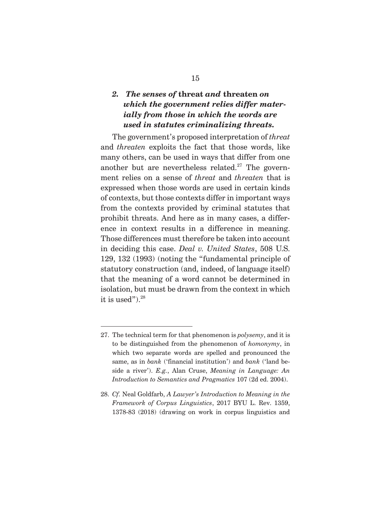## *2. The senses of* **threat** *and* **threaten** *on which the government relies differ materially from those in which the words are used in statutes criminalizing threats.*

 The government's proposed interpretation of *threat* and *threaten* exploits the fact that those words, like many others, can be used in ways that differ from one another but are nevertheless related. $27$  The government relies on a sense of *threat* and *threaten* that is expressed when those words are used in certain kinds of contexts, but those contexts differ in important ways from the contexts provided by criminal statutes that prohibit threats. And here as in many cases, a difference in context results in a difference in meaning. Those differences must therefore be taken into account in deciding this case. *Deal v. United States*, 508 U.S. 129, 132 (1993) (noting the "fundamental principle of statutory construction (and, indeed, of language itself) that the meaning of a word cannot be determined in isolation, but must be drawn from the context in which it is used").<sup>28</sup>

<sup>27.</sup> The technical term for that phenomenon is *polysemy*, and it is to be distinguished from the phenomenon of *homonymy*, in which two separate words are spelled and pronounced the same, as in *bank* ('financial institution') and *bank* ('land beside a river'). *E.g.*, Alan Cruse, *Meaning in Language: An Introduction to Semantics and Pragmatics* 107 (2d ed. 2004).

<sup>28.</sup> *Cf.* Neal Goldfarb, *A Lawyer's Introduction to Meaning in the Framework of Corpus Linguistics*, 2017 BYU L. Rev. 1359, 1378-83 (2018) (drawing on work in corpus linguistics and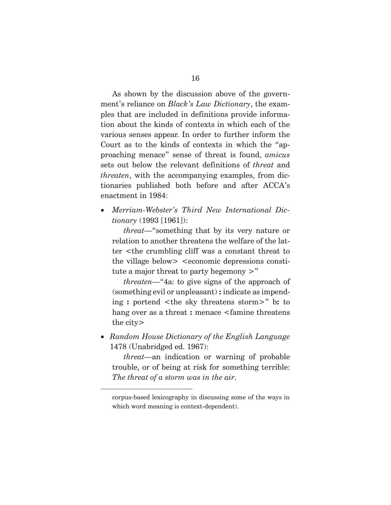As shown by the discussion above of the government's reliance on *Black's Law Dictionary*, the examples that are included in definitions provide information about the kinds of contexts in which each of the various senses appear. In order to further inform the Court as to the kinds of contexts in which the "approaching menace" sense of threat is found, *amicus* sets out below the relevant definitions of *threat* and *threaten*, with the accompanying examples, from dictionaries published both before and after ACCA's enactment in 1984:

x *Merriam-Webster's Third New International Dictionary* (1993 [1961]):

 *threat*—"something that by its very nature or relation to another threatens the welfare of the latter <the crumbling cliff was a constant threat to the village below> <economic depressions constitute a major threat to party hegemony >"

 *threaten*—"4a: to give signs of the approach of (something evil or unpleasant) **:** indicate as impending **:** portend <the sky threatens storm>" b**:** to hang over as a threat **:** menace <famine threatens the city>

x *Random House Dictionary of the English Language* 1478 (Unabridged ed. 1967):

 *threat—*an indication or warning of probable trouble, or of being at risk for something terrible: *The threat of a storm was in the air.*

corpus-based lexicography in discussing some of the ways in which word meaning is context-dependent).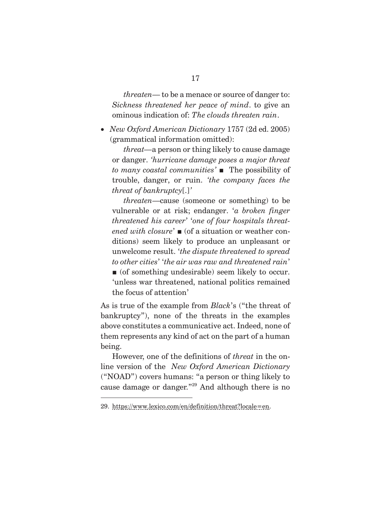*threaten*— to be a menace or source of danger to: *Sickness threatened her peace of mind*. to give an ominous indication of: *The clouds threaten rain*.

x *New Oxford American Dictionary* 1757 (2d ed. 2005) (grammatical information omitted):

 *threat—*a person or thing likely to cause damage or danger. *'hurricane damage poses a major threat to many coastal communities'* ■ The possibility of trouble, danger, or ruin. *'the company faces the threat of bankruptcy*[.]*'* 

 *threaten*—cause (someone or something) to be vulnerable or at risk; endanger. '*a broken finger threatened his career*' '*one of four hospitals threatened with closure*' ■ (of a situation or weather conditions) seem likely to produce an unpleasant or unwelcome result. '*the dispute threatened to spread to other cities*' '*the air was raw and threatened rain*'  $\blacksquare$  (of something undesirable) seem likely to occur. 'unless war threatened, national politics remained the focus of attention'

As is true of the example from *Black*'s ("the threat of bankruptcy"), none of the threats in the examples above constitutes a communicative act. Indeed, none of them represents any kind of act on the part of a human being.

 However, one of the definitions of *threat* in the online version of the *New Oxford American Dictionary*  ("NOAD") covers humans: "a person or thing likely to cause damage or danger."29 And although there is no

<sup>29.</sup> https://www.lexico.com/en/definition/threat?locale=en.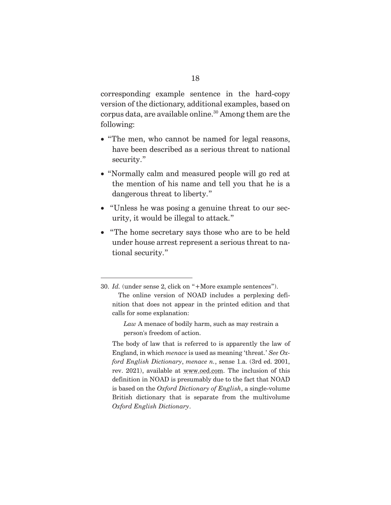corresponding example sentence in the hard-copy version of the dictionary, additional examples, based on corpus data, are available online.<sup>30</sup> Among them are the following:

- "The men, who cannot be named for legal reasons, have been described as a serious threat to national security."
- "Normally calm and measured people will go red at the mention of his name and tell you that he is a dangerous threat to liberty."
- "Unless he was posing a genuine threat to our security, it would be illegal to attack."
- "The home secretary says those who are to be held under house arrest represent a serious threat to national security."

<sup>30.</sup> *Id.* (under sense 2, click on "+More example sentences"). The online version of NOAD includes a perplexing definition that does not appear in the printed edition and that calls for some explanation:

*Law* A menace of bodily harm, such as may restrain a person's freedom of action.

The body of law that is referred to is apparently the law of England, in which *menace* is used as meaning 'threat.' *See Oxford English Dictionary*, *menace n.*, sense 1.a. (3rd ed. 2001, rev. 2021), available at www.oed.com. The inclusion of this definition in NOAD is presumably due to the fact that NOAD is based on the *Oxford Dictionary of English*, a single-volume British dictionary that is separate from the multivolume *Oxford English Dictionary*.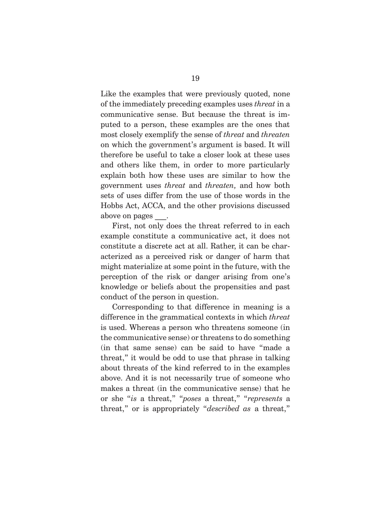Like the examples that were previously quoted, none of the immediately preceding examples uses *threat* in a communicative sense. But because the threat is imputed to a person, these examples are the ones that most closely exemplify the sense of *threat* and *threaten*  on which the government's argument is based. It will therefore be useful to take a closer look at these uses and others like them, in order to more particularly explain both how these uses are similar to how the government uses *threat* and *threaten,* and how both sets of uses differ from the use of those words in the Hobbs Act, ACCA, and the other provisions discussed above on pages .

 First, not only does the threat referred to in each example constitute a communicative act, it does not constitute a discrete act at all. Rather, it can be characterized as a perceived risk or danger of harm that might materialize at some point in the future, with the perception of the risk or danger arising from one's knowledge or beliefs about the propensities and past conduct of the person in question.

 Corresponding to that difference in meaning is a difference in the grammatical contexts in which *threat* is used. Whereas a person who threatens someone (in the communicative sense) or threatens to do something (in that same sense) can be said to have "made a threat," it would be odd to use that phrase in talking about threats of the kind referred to in the examples above. And it is not necessarily true of someone who makes a threat (in the communicative sense) that he or she "*is* a threat," "*poses* a threat," "*represents* a threat," or is appropriately "*described as* a threat,"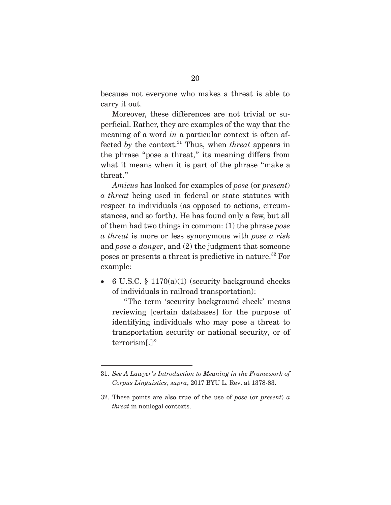because not everyone who makes a threat is able to carry it out.

 Moreover, these differences are not trivial or superficial. Rather, they are examples of the way that the meaning of a word *in* a particular context is often affected *by* the context.<sup>31</sup> Thus, when *threat* appears in the phrase "pose a threat," its meaning differs from what it means when it is part of the phrase "make a threat."

*Amicus* has looked for examples of *pose* (or *present*) *a threat* being used in federal or state statutes with respect to individuals (as opposed to actions, circumstances, and so forth). He has found only a few, but all of them had two things in common: (1) the phrase *pose a threat* is more or less synonymous with *pose a risk*  and *pose a danger*, and (2) the judgment that someone poses or presents a threat is predictive in nature.32 For example:

x6 U.S.C. § 1170(a)(1) (security background checks of individuals in railroad transportation):

 "The term 'security background check' means reviewing [certain databases] for the purpose of identifying individuals who may pose a threat to transportation security or national security, or of terrorism[.]"

<sup>31.</sup> *See A Lawyer's Introduction to Meaning in the Framework of Corpus Linguistics*, *supra*, 2017 BYU L. Rev. at 1378-83.

<sup>32.</sup> These points are also true of the use of *pose* (or *present*) *a threat* in nonlegal contexts.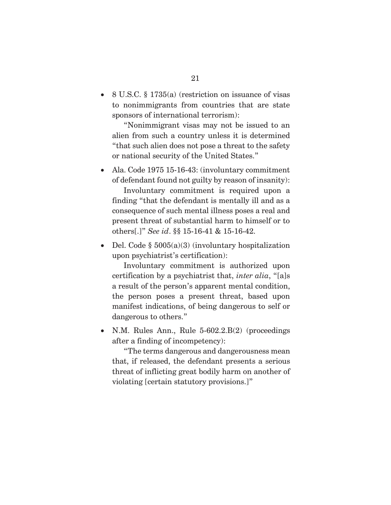$\bullet$  8 U.S.C. § 1735(a) (restriction on issuance of visas to nonimmigrants from countries that are state sponsors of international terrorism):

 "Nonimmigrant visas may not be issued to an alien from such a country unless it is determined "that such alien does not pose a threat to the safety or national security of the United States."

• Ala. Code 1975 15-16-43: (involuntary commitment of defendant found not guilty by reason of insanity): Involuntary commitment is required upon a finding "that the defendant is mentally ill and as a consequence of such mental illness poses a real and present threat of substantial harm to himself or to others[.]" *See id*. §§ 15-16-41 & 15-16-42.

• Del. Code  $\S$  5005(a)(3) (involuntary hospitalization upon psychiatrist's certification):

 Involuntary commitment is authorized upon certification by a psychiatrist that, *inter alia*, "[a]s a result of the person's apparent mental condition, the person poses a present threat, based upon manifest indications, of being dangerous to self or dangerous to others."

• N.M. Rules Ann., Rule  $5-602.2.B(2)$  (proceedings after a finding of incompetency):

 "The terms dangerous and dangerousness mean that, if released, the defendant presents a serious threat of inflicting great bodily harm on another of violating [certain statutory provisions.]"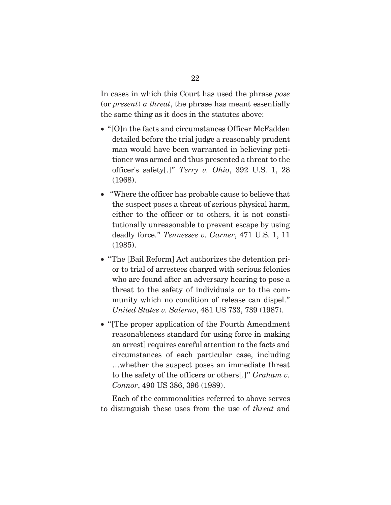In cases in which this Court has used the phrase *pose* (or *present*) *a threat*, the phrase has meant essentially the same thing as it does in the statutes above:

- $\bullet$  "[O]n the facts and circumstances Officer McFadden detailed before the trial judge a reasonably prudent man would have been warranted in believing petitioner was armed and thus presented a threat to the officer's safety[.]" *Terry v. Ohio*, 392 U.S. 1, 28 (1968).
- "Where the officer has probable cause to believe that the suspect poses a threat of serious physical harm, either to the officer or to others, it is not constitutionally unreasonable to prevent escape by using deadly force." *Tennessee v. Garner*, 471 U.S. 1, 11 (1985).
- "The [Bail Reform] Act authorizes the detention prior to trial of arrestees charged with serious felonies who are found after an adversary hearing to pose a threat to the safety of individuals or to the community which no condition of release can dispel." *United States v. Salerno*, 481 US 733, 739 (1987).
- x "[The proper application of the Fourth Amendment reasonableness standard for using force in making an arrest] requires careful attention to the facts and circumstances of each particular case, including …whether the suspect poses an immediate threat to the safety of the officers or others[.]" *Graham v. Connor*, 490 US 386, 396 (1989).

 Each of the commonalities referred to above serves to distinguish these uses from the use of *threat* and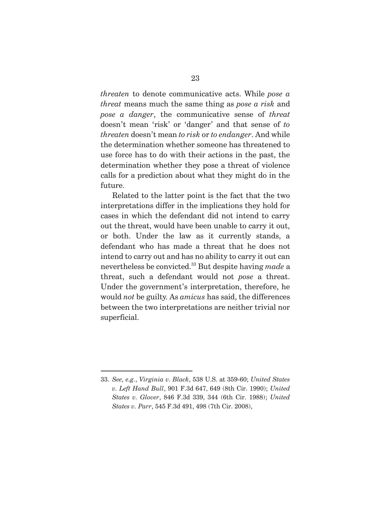*threaten* to denote communicative acts. While *pose a threat* means much the same thing as *pose a risk* and *pose a danger*, the communicative sense of *threat* doesn't mean 'risk' or 'danger' and that sense of *to threaten* doesn't mean *to risk* or *to endanger*. And while the determination whether someone has threatened to use force has to do with their actions in the past, the determination whether they pose a threat of violence calls for a prediction about what they might do in the future.

 Related to the latter point is the fact that the two interpretations differ in the implications they hold for cases in which the defendant did not intend to carry out the threat, would have been unable to carry it out, or both. Under the law as it currently stands, a defendant who has made a threat that he does not intend to carry out and has no ability to carry it out can nevertheless be convicted.33 But despite having *made* a threat, such a defendant would not *pose* a threat. Under the government's interpretation, therefore, he would *not* be guilty. As *amicus* has said, the differences between the two interpretations are neither trivial nor superficial.

<sup>33.</sup> *See, e.g.*, *Virginia v. Black*, 538 U.S. at 359-60; *United States v. Left Hand Bull*, 901 F.3d 647, 649 (8th Cir. 1990); *United States v. Glover*, 846 F.3d 339, 344 (6th Cir. 1988); *United States v. Parr*, 545 F.3d 491, 498 (7th Cir. 2008),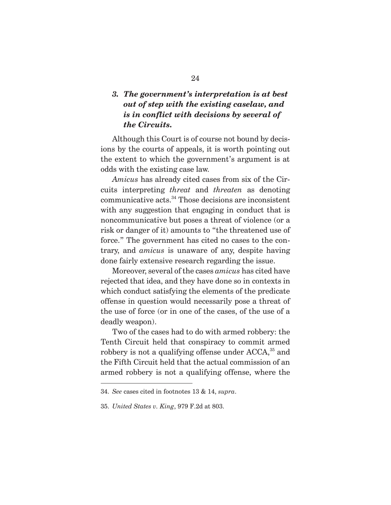### *3. The government's interpretation is at best out of step with the existing caselaw, and is in conflict with decisions by several of the Circuits.*

 Although this Court is of course not bound by decisions by the courts of appeals, it is worth pointing out the extent to which the government's argument is at odds with the existing case law.

*Amicus* has already cited cases from six of the Circuits interpreting *threat* and *threaten* as denoting communicative acts.34 Those decisions are inconsistent with any suggestion that engaging in conduct that is noncommunicative but poses a threat of violence (or a risk or danger of it) amounts to "the threatened use of force." The government has cited no cases to the contrary, and *amicus* is unaware of any, despite having done fairly extensive research regarding the issue.

 Moreover, several of the cases *amicus* has cited have rejected that idea, and they have done so in contexts in which conduct satisfying the elements of the predicate offense in question would necessarily pose a threat of the use of force (or in one of the cases, of the use of a deadly weapon).

 Two of the cases had to do with armed robbery: the Tenth Circuit held that conspiracy to commit armed robbery is not a qualifying offense under  $ACCA$ ,<sup>35</sup> and the Fifth Circuit held that the actual commission of an armed robbery is not a qualifying offense, where the

35. *United States v. King*, 979 F.2d at 803.

<sup>34.</sup> *See* cases cited in footnotes 13 & 14, *supra*.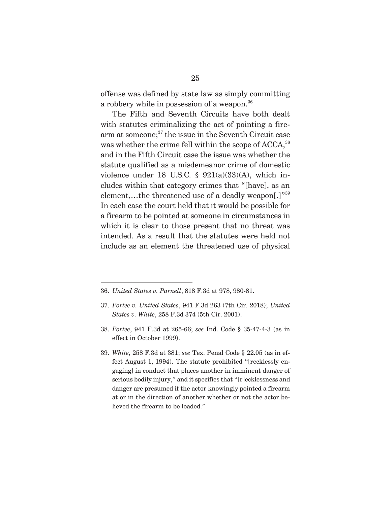offense was defined by state law as simply committing a robbery while in possession of a weapon.<sup>36</sup>

 The Fifth and Seventh Circuits have both dealt with statutes criminalizing the act of pointing a firearm at someone;<sup>37</sup> the issue in the Seventh Circuit case was whether the crime fell within the scope of ACCA,<sup>38</sup> and in the Fifth Circuit case the issue was whether the statute qualified as a misdemeanor crime of domestic violence under 18 U.S.C. §  $921(a)(33)(A)$ , which includes within that category crimes that "[have], as an element,…the threatened use of a deadly weapon[.]"39 In each case the court held that it would be possible for a firearm to be pointed at someone in circumstances in which it is clear to those present that no threat was intended. As a result that the statutes were held not include as an element the threatened use of physical

<sup>36.</sup> *United States v. Parnell*, 818 F.3d at 978, 980-81.

<sup>37.</sup> *Portee v. United States*, 941 F.3d 263 (7th Cir. 2018); *United States v. White*, 258 F.3d 374 (5th Cir. 2001).

<sup>38.</sup> *Portee*, 941 F.3d at 265-66; *see* Ind. Code § 35-47-4-3 (as in effect in October 1999).

<sup>39.</sup> *White*, 258 F.3d at 381; *see* Tex. Penal Code § 22.05 (as in effect August 1, 1994). The statute prohibited "[recklessly engaging] in conduct that places another in imminent danger of serious bodily injury," and it specifies that "[r]ecklessness and danger are presumed if the actor knowingly pointed a firearm at or in the direction of another whether or not the actor believed the firearm to be loaded."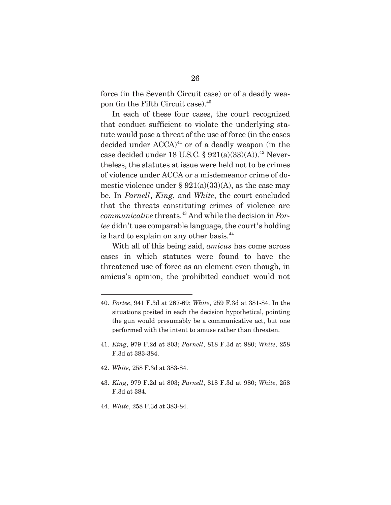force (in the Seventh Circuit case) or of a deadly weapon (in the Fifth Circuit case).40

 In each of these four cases, the court recognized that conduct sufficient to violate the underlying statute would pose a threat of the use of force (in the cases decided under  $ACCA)^{41}$  or of a deadly weapon (in the case decided under 18 U.S.C.  $\S 921(a)(33)(A)$ .<sup>42</sup> Nevertheless, the statutes at issue were held not to be crimes of violence under ACCA or a misdemeanor crime of domestic violence under §  $921(a)(33)(A)$ , as the case may be. In *Parnell*, *King*, and *White*, the court concluded that the threats constituting crimes of violence are *communicative* threats.43 And while the decision in *Portee* didn't use comparable language, the court's holding is hard to explain on any other basis.<sup>44</sup>

 With all of this being said, *amicus* has come across cases in which statutes were found to have the threatened use of force as an element even though, in amicus's opinion, the prohibited conduct would not

- 41. *King*, 979 F.2d at 803; *Parnell*, 818 F.3d at 980; *White*, 258 F.3d at 383-384.
- 42. *White*, 258 F.3d at 383-84.
- 43. *King*, 979 F.2d at 803; *Parnell*, 818 F.3d at 980; *White*, 258 F.3d at 384.
- 44. *White*, 258 F.3d at 383-84.

<sup>40.</sup> *Portee*, 941 F.3d at 267-69; *White*, 259 F.3d at 381-84. In the situations posited in each the decision hypothetical, pointing the gun would presumably be a communicative act, but one performed with the intent to amuse rather than threaten.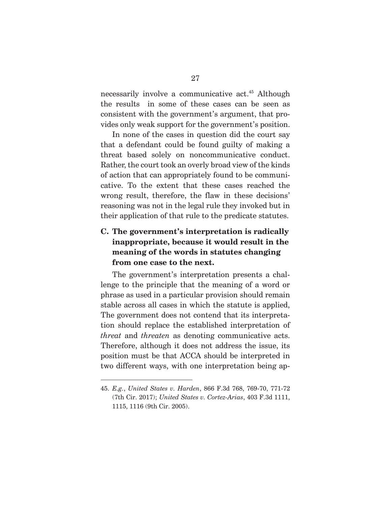necessarily involve a communicative act.<sup>45</sup> Although the results in some of these cases can be seen as consistent with the government's argument, that provides only weak support for the government's position.

 In none of the cases in question did the court say that a defendant could be found guilty of making a threat based solely on noncommunicative conduct. Rather, the court took an overly broad view of the kinds of action that can appropriately found to be communicative. To the extent that these cases reached the wrong result, therefore, the flaw in these decisions' reasoning was not in the legal rule they invoked but in their application of that rule to the predicate statutes.

## **C. The government's interpretation is radically inappropriate, because it would result in the meaning of the words in statutes changing from one case to the next.**

 The government's interpretation presents a challenge to the principle that the meaning of a word or phrase as used in a particular provision should remain stable across all cases in which the statute is applied, The government does not contend that its interpretation should replace the established interpretation of *threat* and *threaten* as denoting communicative acts. Therefore, although it does not address the issue, its position must be that ACCA should be interpreted in two different ways, with one interpretation being ap-

<sup>45.</sup> *E.g.*, *United States v. Harden*, 866 F.3d 768, 769-70, 771-72 (7th Cir. 2017); *United States v. Cortez-Arias*, 403 F.3d 1111, 1115, 1116 (9th Cir. 2005).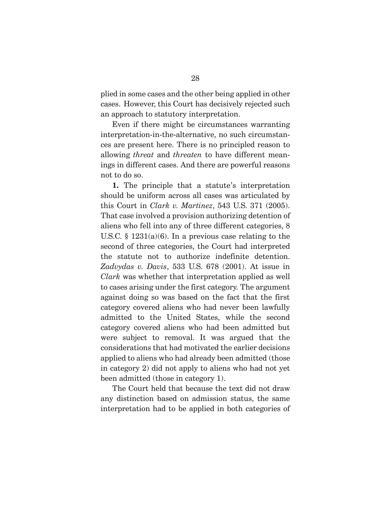plied in some cases and the other being applied in other cases. However, this Court has decisively rejected such an approach to statutory interpretation.

 Even if there might be circumstances warranting interpretation-in-the-alternative, no such circumstances are present here. There is no principled reason to allowing *threat* and *threaten* to have different meanings in different cases. And there are powerful reasons not to do so.

**1.** The principle that a statute's interpretation should be uniform across all cases was articulated by this Court in *Clark v. Martinez*, 543 U.S. 371 (2005). That case involved a provision authorizing detention of aliens who fell into any of three different categories, 8 U.S.C.  $\S$  1231(a)(6). In a previous case relating to the second of three categories, the Court had interpreted the statute not to authorize indefinite detention. *Zadvydas v. Davis*, 533 U.S. 678 (2001). At issue in *Clark* was whether that interpretation applied as well to cases arising under the first category. The argument against doing so was based on the fact that the first category covered aliens who had never been lawfully admitted to the United States, while the second category covered aliens who had been admitted but were subject to removal. It was argued that the considerations that had motivated the earlier decisions applied to aliens who had already been admitted (those in category 2) did not apply to aliens who had not yet been admitted (those in category 1).

 The Court held that because the text did not draw any distinction based on admission status, the same interpretation had to be applied in both categories of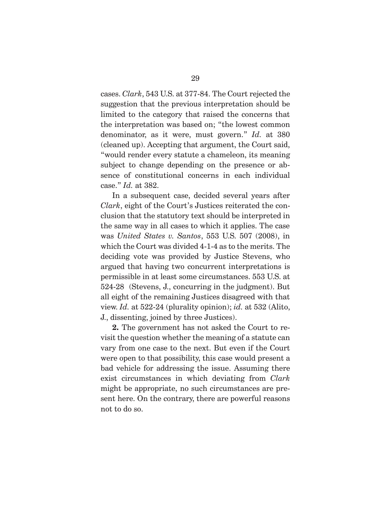cases. *Clark*, 543 U.S. at 377-84. The Court rejected the suggestion that the previous interpretation should be limited to the category that raised the concerns that the interpretation was based on; "the lowest common denominator, as it were, must govern." *Id.* at 380 (cleaned up). Accepting that argument, the Court said, "would render every statute a chameleon, its meaning subject to change depending on the presence or absence of constitutional concerns in each individual case." *Id.* at 382.

 In a subsequent case, decided several years after *Clark*, eight of the Court's Justices reiterated the conclusion that the statutory text should be interpreted in the same way in all cases to which it applies. The case was *United States v. Santos*, 553 U.S. 507 (2008), in which the Court was divided 4-1-4 as to the merits. The deciding vote was provided by Justice Stevens, who argued that having two concurrent interpretations is permissible in at least some circumstances. 553 U.S. at 524-28 (Stevens, J., concurring in the judgment). But all eight of the remaining Justices disagreed with that view. *Id.* at 522-24 (plurality opinion); *id.* at 532 (Alito, J., dissenting, joined by three Justices).

**2.** The government has not asked the Court to revisit the question whether the meaning of a statute can vary from one case to the next. But even if the Court were open to that possibility, this case would present a bad vehicle for addressing the issue. Assuming there exist circumstances in which deviating from *Clark* might be appropriate, no such circumstances are present here. On the contrary, there are powerful reasons not to do so.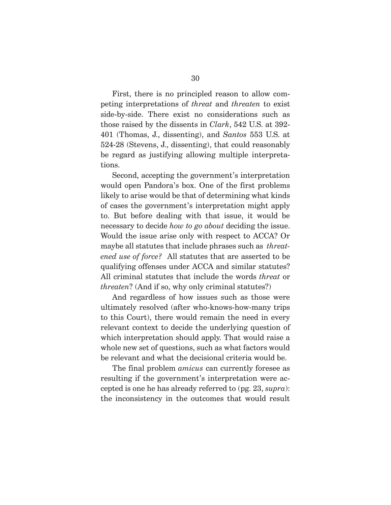First, there is no principled reason to allow competing interpretations of *threat* and *threaten* to exist side-by-side. There exist no considerations such as those raised by the dissents in *Clark*, 542 U.S. at 392- 401 (Thomas, J., dissenting), and *Santos* 553 U.S. at 524-28 (Stevens, J., dissenting), that could reasonably be regard as justifying allowing multiple interpretations.

 Second, accepting the government's interpretation would open Pandora's box. One of the first problems likely to arise would be that of determining what kinds of cases the government's interpretation might apply to. But before dealing with that issue, it would be necessary to decide *how to go about* deciding the issue. Would the issue arise only with respect to ACCA? Or maybe all statutes that include phrases such as *threatened use of force?* All statutes that are asserted to be qualifying offenses under ACCA and similar statutes? All criminal statutes that include the words *threat* or *threaten*? (And if so, why only criminal statutes?)

 And regardless of how issues such as those were ultimately resolved (after who-knows-how-many trips to this Court), there would remain the need in every relevant context to decide the underlying question of which interpretation should apply. That would raise a whole new set of questions, such as what factors would be relevant and what the decisional criteria would be.

 The final problem *amicus* can currently foresee as resulting if the government's interpretation were accepted is one he has already referred to (pg. 23, *supra*): the inconsistency in the outcomes that would result